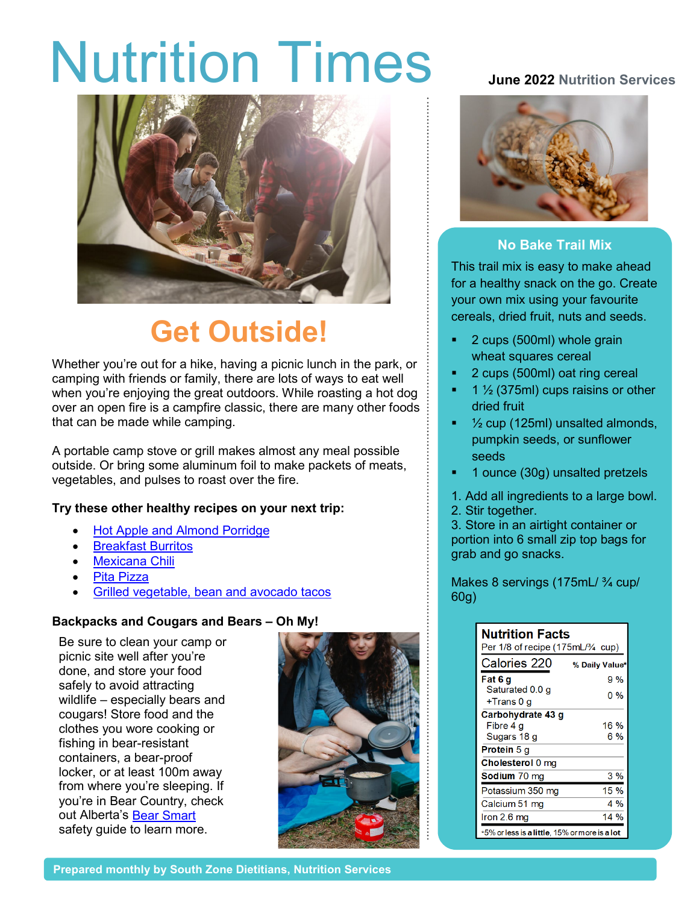# Nutrition Times **June <sup>2022</sup> Nutrition Services**



## **Get Outside!**

Whether you're out for a hike, having a picnic lunch in the park, or camping with friends or family, there are lots of ways to eat well when you're enjoying the great outdoors. While roasting a hot dog over an open fire is a campfire classic, there are many other foods that can be made while camping.

A portable camp stove or grill makes almost any meal possible outside. Or bring some aluminum foil to make packets of meats, vegetables, and pulses to roast over the fire.

### **Try these other healthy recipes on your next trip:**

- [Hot Apple and Almond Porridge](https://www.albertahealthservices.ca/assets/info/nutrition/if-nfs-hot-apple-and-almond-porridge.pdf)
- **[Breakfast Burritos](https://www.albertahealthservices.ca/assets/info/nutrition/if-nfs-breakfast-burritos.pdf)**
- **[Mexicana Chili](https://albertapulse.com/recipe/mexicana-chili/)**
- [Pita Pizza](https://www.albertahealthservices.ca/assets/info/nutrition/if-nfs-pita-pizza.pdf)
- [Grilled vegetable, bean and avocado tacos](https://www.cookspiration.com/recipe.aspx?perma=JDIMLfL2hGN&g=14)

#### **Backpacks and Cougars and Bears – Oh My!**

Be sure to clean your camp or picnic site well after you're done, and store your food safely to avoid attracting wildlife – especially bears and cougars! Store food and the clothes you wore cooking or fishing in bear-resistant containers, a bear-proof locker, or at least 100m away from where you're sleeping. If you're in Bear Country, check out Alberta's [Bear Smart](https://www.alberta.ca/alberta-bearsmart-program-overview.aspx) safety guide to learn more.





### **No Bake Trail Mix**

This trail mix is easy to make ahead for a healthy snack on the go. Create your own mix using your favourite cereals, dried fruit, nuts and seeds.

- **2** cups (500ml) whole grain wheat squares cereal
- 2 cups (500ml) oat ring cereal
- 1 ½ (375ml) cups raisins or other dried fruit
- $\frac{1}{2}$  cup (125ml) unsalted almonds, pumpkin seeds, or sunflower seeds
- 1 ounce (30g) unsalted pretzels
- 1. Add all ingredients to a large bowl. 2. Stir together.

3. Store in an airtight container or portion into 6 small zip top bags for grab and go snacks.

Makes 8 servings (175mL/ 3/4 cup/ 60g)

| <b>Nutrition Facts</b><br>Per 1/8 of recipe (175mL/¾ cup) |                |  |
|-----------------------------------------------------------|----------------|--|
| Calories 220                                              | % Daily Value* |  |
| Fat 6 q                                                   | 9%             |  |
| Saturated 0.0 g                                           | 0 %            |  |
| +Trans 0 g                                                |                |  |
| Carbohydrate 43 g                                         |                |  |
| Fibre 4 q                                                 | 16 %           |  |
| Sugars 18 g                                               | 6 %            |  |
| <b>Protein</b> 5 g                                        |                |  |
| Cholesterol 0 mg                                          |                |  |
| Sodium 70 mg                                              | 3%             |  |
| Potassium 350 mg                                          | 15 %           |  |
| Calcium 51 mg                                             | 4 %            |  |
| Iron 2.6 mg                                               | 14 %           |  |
| *5% or less is a little, 15% or more is a lot             |                |  |